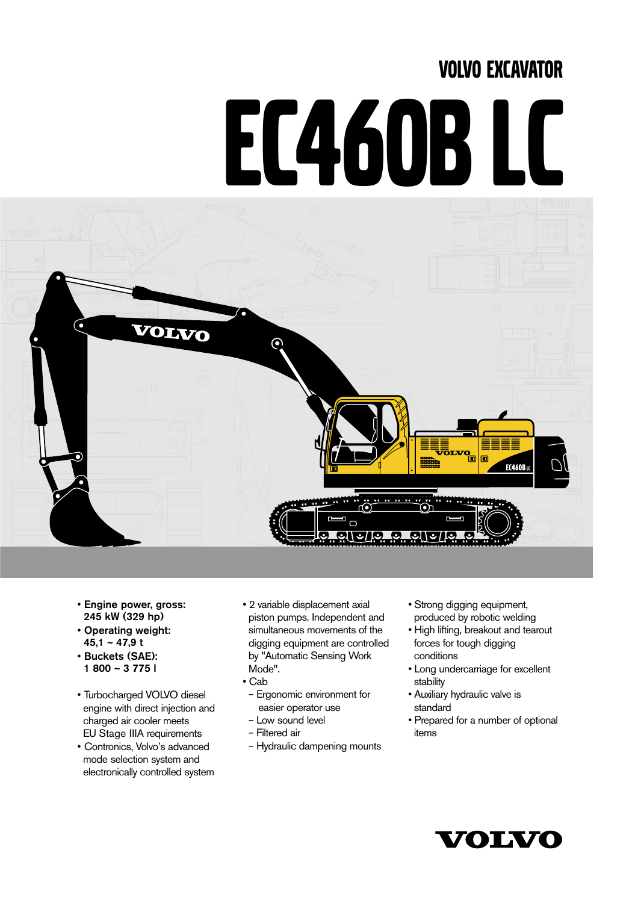# VOLVO EXCAVATOR

# EC460B LC



- **Engine power, gross: 245 kW (329 hp)**
- **Operating weight: 45,1 ~ 47,9 t**
- **Buckets (SAE): 1 800 ~ 3 775 l**
- Turbocharged VOLVO diesel engine with direct injection and charged air cooler meets EU Stage IIIA requirements
- Contronics, Volvo's advanced mode selection system and electronically controlled system
- 2 variable displacement axial piston pumps. Independent and simultaneous movements of the digging equipment are controlled by "Automatic Sensing Work Mode".
- Cab
	- Ergonomic environment for easier operator use
	- Low sound level
- Filtered air
- Hydraulic dampening mounts
- Strong digging equipment, produced by robotic welding
- High lifting, breakout and tearout forces for tough digging conditions
- Long undercarriage for excellent stability
- Auxiliary hydraulic valve is standard
- Prepared for a number of optional items

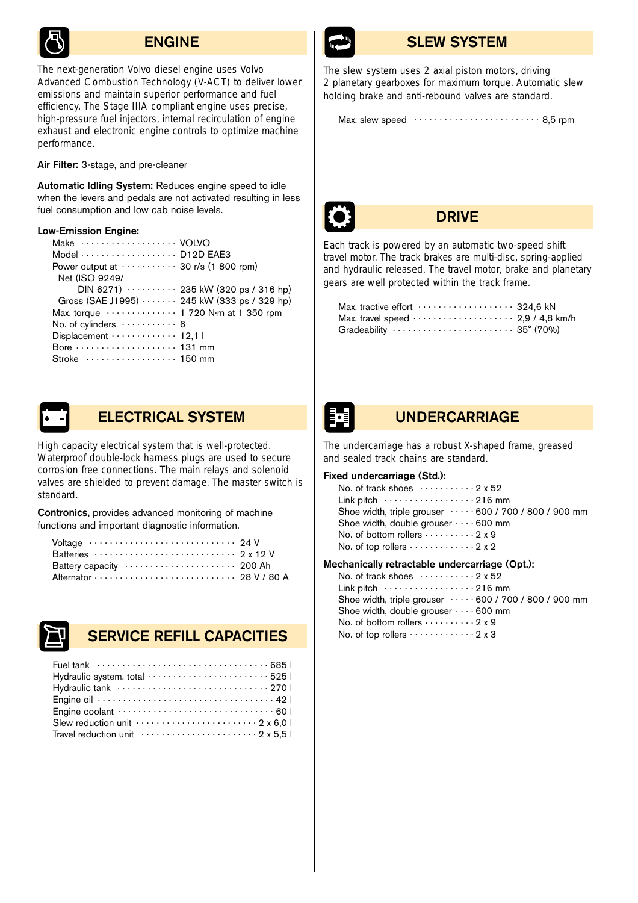

*The next-generation Volvo diesel engine uses Volvo Advanced Combustion Technology (V-ACT) to deliver lower emissions and maintain superior performance and fuel efficiency. The Stage IIIA compliant engine uses precise, high-pressure fuel injectors, internal recirculation of engine exhaust and electronic engine controls to optimize machine performance.*

**Air Filter:** 3-stage, and pre-cleaner

**Automatic Idling System:** Reduces engine speed to idle when the levers and pedals are not activated resulting in less fuel consumption and low cab noise levels.

### **Low-Emission Engine:**

| Make  VOLVO                                               |  |
|-----------------------------------------------------------|--|
| Model  D12D EAE3                                          |  |
| Power output at $\cdots \cdots \cdots 30$ r/s (1 800 rpm) |  |
| Net (ISO 9249/                                            |  |
| DIN 6271) · · · · · · · · · · 235 kW (320 ps / 316 hp)    |  |
| Gross (SAE J1995)  245 kW (333 ps / 329 hp)               |  |
| Max. torque  1 720 N·m at 1 350 rpm                       |  |
| No. of cylinders  6                                       |  |
| Displacement  12,1                                        |  |
|                                                           |  |
| Stroke  150 mm                                            |  |



# **ELECTRICAL SYSTEM**

*High capacity electrical system that is well-protected. Waterproof double-lock harness plugs are used to secure corrosion free connections. The main relays and solenoid valves are shielded to prevent damage. The master switch is standard.*

**Contronics,** provides advanced monitoring of machine functions and important diagnostic information.

| Voltage  24 V       |  |
|---------------------|--|
| Batteries  2 x 12 V |  |
|                     |  |
|                     |  |



# **SERVICE REFILL CAPACITIES**

| Hydraulic system, total  525                                                          |
|---------------------------------------------------------------------------------------|
|                                                                                       |
|                                                                                       |
|                                                                                       |
| Slew reduction unit $\cdots$ $\cdots$ $\cdots$ $\cdots$ $\cdots$ $\cdots$ 2 x 6.0     |
| Travel reduction unit $\cdots \cdots \cdots \cdots \cdots \cdots \cdots 2 \times 5.5$ |
|                                                                                       |



# **ENGINE SLEW SYSTEM**

*The slew system uses 2 axial piston motors, driving 2 planetary gearboxes for maximum torque. Automatic slew holding brake and anti-rebound valves are standard.*

Max. slew speed . . . . . . . . . . . . . . . . . . . . . . . . . 8,5 rpm



# **DRIVE**

*Each track is powered by an automatic two-speed shift travel motor. The track brakes are multi-disc, spring-applied and hydraulic released. The travel motor, brake and planetary gears are well protected within the track frame.*

| Max. tractive effort  324.6 kN                                                    |  |
|-----------------------------------------------------------------------------------|--|
|                                                                                   |  |
| Gradeability $\cdots \cdots \cdots \cdots \cdots \cdots \cdots 35^{\circ} (70\%)$ |  |

# **UNDERCARRIAGE**

*The undercarriage has a robust X-shaped frame, greased and sealed track chains are standard.*

# **Fixed undercarriage (Std.):**

| No. of track shoes $\cdots \cdots \cdots 2 \times 52$        |  |
|--------------------------------------------------------------|--|
|                                                              |  |
| Shoe width, triple grouser $\cdots$ 600 / 700 / 800 / 900 mm |  |
| Shoe width, double grouser $\cdots$ 600 mm                   |  |
| No. of bottom rollers $\cdots \cdots \cdots 2x9$             |  |
| No. of top rollers $\cdots \cdots \cdots \cdots 2x2$         |  |

### **Mechanically retractable undercarriage (Opt.):**

No. of track shoes  $\dots \dots \dots 2x52$ Link pitch . . . . . . . . . . . . . . . . . . 216 mm Shoe width, triple grouser . . . . . 600 / 700 / 800 / 900 mm Shoe width, double grouser  $\cdots$  600 mm No. of bottom rollers  $\dots \dots \dots 2x9$ No. of top rollers  $\dots\dots\dots\dots2x$  3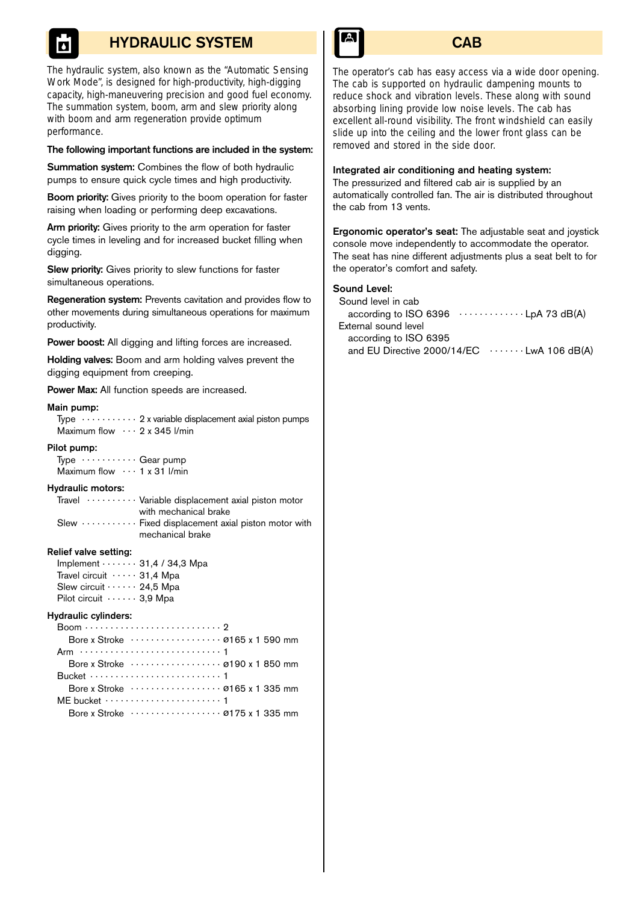# **HYDRAULIC SYSTEM**

*The hydraulic system, also known as the "Automatic Sensing Work Mode", is designed for high-productivity, high-digging capacity, high-maneuvering precision and good fuel economy. The summation system, boom, arm and slew priority along with boom and arm regeneration provide optimum performance.*

### **The following important functions are included in the system:**

**Summation system:** Combines the flow of both hydraulic pumps to ensure quick cycle times and high productivity.

**Boom priority:** Gives priority to the boom operation for faster raising when loading or performing deep excavations.

**Arm priority:** Gives priority to the arm operation for faster cycle times in leveling and for increased bucket filling when digging.

**Slew priority:** Gives priority to slew functions for faster simultaneous operations.

**Regeneration system:** Prevents cavitation and provides flow to other movements during simultaneous operations for maximum productivity.

**Power boost:** All digging and lifting forces are increased.

**Holding valves:** Boom and arm holding valves prevent the digging equipment from creeping.

**Power Max:** All function speeds are increased.

### **Main pump:**

Type  $\cdots \cdots$  2 x variable displacement axial piston pumps Maximum flow  $\cdots$  2 x 345 l/min

### **Pilot pump:**

Type . . . . . . . . . . . Gear pump Maximum flow . . . 1 x 31 l/min

### **Hydraulic motors:**

|  | $\frac{1}{2}$ Travel $\cdots \cdots \cdots$ Variable displacement axial piston motor |
|--|--------------------------------------------------------------------------------------|
|  | with mechanical brake                                                                |
|  | $S$ lew $\cdots$ $\cdots$ Fixed displacement axial piston motor with                 |
|  | mechanical brake                                                                     |

### **Relief valve setting:**

| Implement $\cdots$ 31,4 / 34,3 Mpa |
|------------------------------------|
| Travel circuit $\cdots$ 31.4 Mpa   |
| Slew circuit $\cdots$ 24,5 Mpa     |
| Pilot circuit $\cdots$ 3,9 Mpa     |

### **Hydraulic cylinders:**

| $Boom \dots \dots \dots \dots \dots \dots \dots \dots \dots \dots$                                                               |
|----------------------------------------------------------------------------------------------------------------------------------|
| Bore x Stroke $\cdots$ $\cdots$ $\cdots$ $\cdots$ $\cdots$ $\cdots$ $\cdots$ $\cdots$ $\cdots$ $\cdots$ $\cdots$ $\cdots$ 590 mm |
|                                                                                                                                  |
| Bore x Stroke $\dots\dots\dots\dots\dots\varnothing$ 190 x 1 850 mm                                                              |
|                                                                                                                                  |
| Bore x Stroke $\cdots$ $\cdots$ $\cdots$ $\cdots$ $\cdots$ $\cdots$ $\cdots$ $\cdots$ $\cdots$ $\cdots$ $\cdots$ 335 mm          |
| MF bucket $\cdots$ $\cdots$ $\cdots$ $\cdots$ $\cdots$ $\cdots$                                                                  |
| Rore x Stroke  0175 x 1 335 mm                                                                                                   |



# **CAB**

*The operator's cab has easy access via a wide door opening. The cab is supported on hydraulic dampening mounts to reduce shock and vibration levels. These along with sound absorbing lining provide low noise levels. The cab has excellent all-round visibility. The front windshield can easily slide up into the ceiling and the lower front glass can be removed and stored in the side door.*

### **Integrated air conditioning and heating system:**

The pressurized and filtered cab air is supplied by an automatically controlled fan. The air is distributed throughout the cab from 13 vents.

**Ergonomic operator's seat:** The adjustable seat and joystick console move independently to accommodate the operator. The seat has nine different adjustments plus a seat belt to for the operator's comfort and safety.

### **Sound Level:**

| Sound level in cab                          |  |
|---------------------------------------------|--|
| according to ISO 6396 $\cdots$ LpA 73 dB(A) |  |
| External sound level                        |  |
| according to ISO 6395                       |  |
| and EU Directive $2000/14/EC$ LwA 106 dB(A) |  |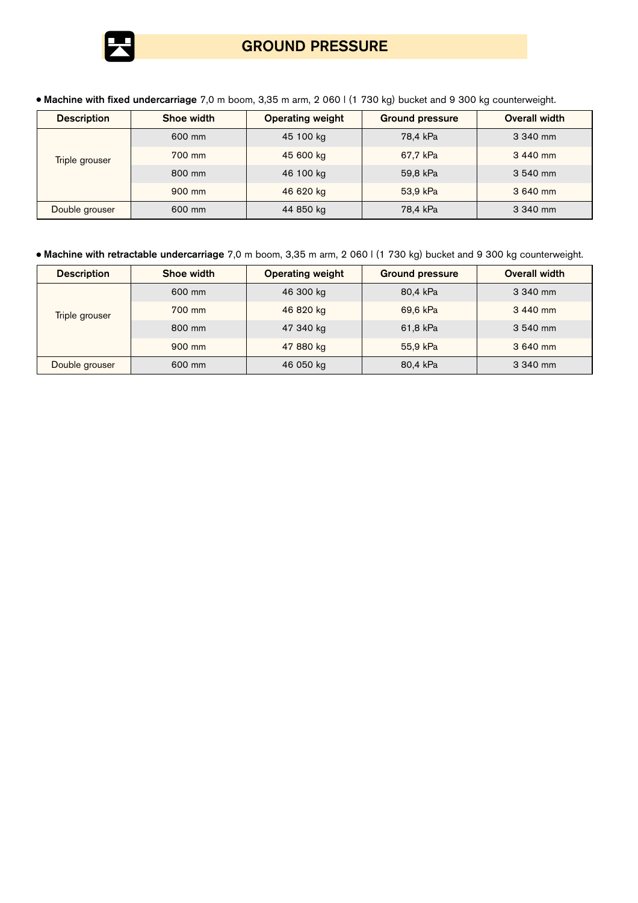

# **GROUND PRESSURE**

**Machine with fixed undercarriage** 7,0 m boom, 3,35 m arm, 2 060 l (1 730 kg) bucket and 9 300 kg counterweight.

| <b>Description</b>    | Shoe width | <b>Operating weight</b> | <b>Ground pressure</b> | <b>Overall width</b> |  |
|-----------------------|------------|-------------------------|------------------------|----------------------|--|
|                       | 600 mm     | 45 100 kg               | 78.4 kPa               | 3 340 mm             |  |
| <b>Triple grouser</b> | 700 mm     | 45 600 kg               | 67.7 kPa               | 3 440 mm             |  |
|                       | 800 mm     | 46 100 kg               | 59,8 kPa               | 3 540 mm             |  |
|                       | 900 mm     | 46 620 kg               | 53.9 kPa               | 3 640 mm             |  |
| Double grouser        | 600 mm     | 44 850 kg               | 78.4 kPa               | 3 340 mm             |  |

# **Machine with retractable undercarriage** 7,0 m boom, 3,35 m arm, 2 060 l (1 730 kg) bucket and 9 300 kg counterweight.

| <b>Description</b>    | Shoe width | <b>Operating weight</b><br><b>Ground pressure</b> |          | Overall width |  |
|-----------------------|------------|---------------------------------------------------|----------|---------------|--|
|                       | 600 mm     | 46 300 kg                                         | 80,4 kPa | 3 340 mm      |  |
| <b>Triple grouser</b> | 700 mm     | 46 820 kg                                         | 69,6 kPa | 3 440 mm      |  |
|                       | 800 mm     | 47 340 kg                                         | 61,8 kPa | 3 540 mm      |  |
|                       | 900 mm     | 47 880 kg                                         | 55.9 kPa | 3 640 mm      |  |
| Double grouser        | 600 mm     | 46 050 kg                                         | 80.4 kPa | 3 340 mm      |  |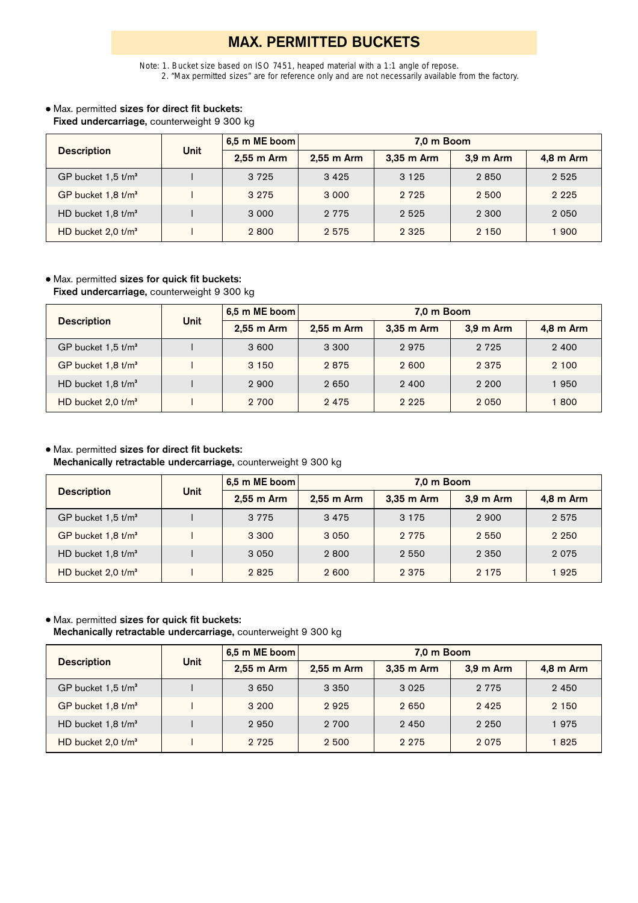# **MAX. PERMITTED BUCKETS**

*Note: 1. Bucket size based on ISO 7451, heaped material with a 1:1 angle of repose. 2. "Max permitted sizes" are for reference only and are not necessarily available from the factory.*

# Max. permitted **sizes for direct fit buckets: Fixed undercarriage,** counterweight 9 300 kg

|                                  | Unit | 6.5 m ME boom | 7.0 m Boom |            |           |           |
|----------------------------------|------|---------------|------------|------------|-----------|-----------|
| <b>Description</b>               |      | 2,55 m Arm    | 2,55 m Arm | 3,35 m Arm | 3.9 m Arm | 4,8 m Arm |
| GP bucket $1.5$ t/m <sup>3</sup> |      | 3 7 2 5       | 3425       | 3 1 2 5    | 2850      | 2 5 2 5   |
| GP bucket $1.8$ t/m <sup>3</sup> |      | 3 2 7 5       | 3 0 0 0    | 2 7 2 5    | 2 500     | 2 2 2 5   |
| HD bucket $1,8$ t/m <sup>3</sup> |      | 3 0 0 0       | 2 7 7 5    | 2 5 2 5    | 2 300     | 2 0 5 0   |
| HD bucket $2.0$ t/m <sup>3</sup> |      | 2800          | 2 5 7 5    | 2 3 2 5    | 2 150     | 1900      |

# Max. permitted **sizes for quick fit buckets:**

**Fixed undercarriage,** counterweight 9 300 kg

| <b>Description</b>               | Unit | 6.5 m ME boom | 7.0 m Boom   |            |           |           |  |  |  |  |
|----------------------------------|------|---------------|--------------|------------|-----------|-----------|--|--|--|--|
|                                  |      | 2,55 m Arm    | $2.55$ m Arm | 3,35 m Arm | 3.9 m Arm | 4,8 m Arm |  |  |  |  |
| GP bucket $1.5$ t/m <sup>3</sup> |      | 3 600         | 3 300        | 2975       | 2 7 2 5   | 2 4 0 0   |  |  |  |  |
| GP bucket $1.8$ t/m <sup>3</sup> |      | 3 1 5 0       | 2875         | 2 600      | 2 3 7 5   | 2 100     |  |  |  |  |
| HD bucket $1.8$ t/m <sup>3</sup> |      | 2 900         | 2 6 5 0      | 2 4 0 0    | 2 200     | 1950      |  |  |  |  |
| HD bucket $2.0$ t/m <sup>3</sup> |      | 2 700         | 2475         | 2 2 2 5    | 2 0 5 0   | 1800      |  |  |  |  |

# Max. permitted **sizes for direct fit buckets:**

**Mechanically retractable undercarriage,** counterweight 9 300 kg

| <b>Description</b>               |             | 6.5 m ME boom | 7.0 m Boom |            |           |           |  |  |  |
|----------------------------------|-------------|---------------|------------|------------|-----------|-----------|--|--|--|
|                                  | <b>Unit</b> | 2,55 m Arm    | 2,55 m Arm | 3,35 m Arm | 3.9 m Arm | 4,8 m Arm |  |  |  |
| GP bucket $1.5$ t/m <sup>3</sup> |             | 3 7 7 5       | 3475       | 3 1 7 5    | 2900      | 2575      |  |  |  |
| GP bucket 1,8 t/m <sup>3</sup>   |             | 3 3 0 0       | 3 0 5 0    | 2 7 7 5    | 2 5 5 0   | 2 2 5 0   |  |  |  |
| HD bucket $1,8$ t/m <sup>3</sup> |             | 3 0 5 0       | 2800       | 2 5 5 0    | 2 3 5 0   | 2075      |  |  |  |
| HD bucket $2.0$ t/m <sup>3</sup> |             | 2825          | 2 600      | 2 3 7 5    | 2 1 7 5   | 1925      |  |  |  |

# Max. permitted **sizes for quick fit buckets:**

**Mechanically retractable undercarriage,** counterweight 9 300 kg

| <b>Description</b>               | Unit | 6.5 m ME boom | 7.0 m Boom   |              |           |           |  |  |  |  |
|----------------------------------|------|---------------|--------------|--------------|-----------|-----------|--|--|--|--|
|                                  |      | $2.55$ m Arm  | $2.55$ m Arm | $3.35$ m Arm | 3.9 m Arm | 4,8 m Arm |  |  |  |  |
| GP bucket $1.5$ t/m <sup>3</sup> |      | 3 6 5 0       | 3 3 5 0      | 3 0 2 5      | 2 7 7 5   | 2 4 5 0   |  |  |  |  |
| GP bucket 1,8 t/m <sup>3</sup>   |      | 3 200         | 2925         | 2 6 5 0      | 2425      | 2 1 5 0   |  |  |  |  |
| HD bucket $1.8$ t/m <sup>3</sup> |      | 2950          | 2 700        | 2450         | 2 2 5 0   | 1975      |  |  |  |  |
| HD bucket $2.0$ t/m <sup>3</sup> |      | 2 7 2 5       | 2 500        | 2 2 7 5      | 2075      | 1825      |  |  |  |  |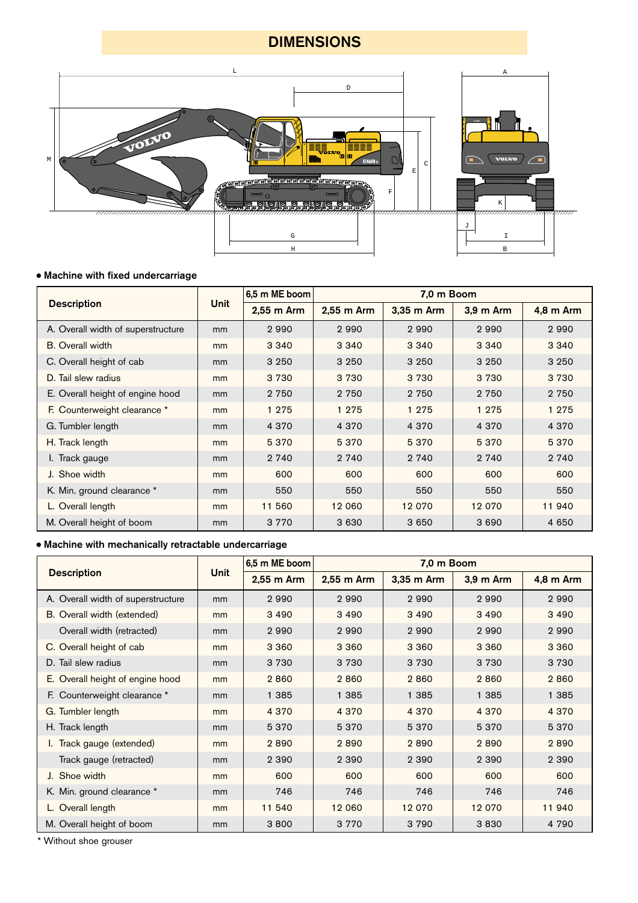# **DIMENSIONS**



# **Machine with fixed undercarriage**

|                                    |             | 6,5 m ME boom |            | 7.0 m Boom |           |           |  |  |
|------------------------------------|-------------|---------------|------------|------------|-----------|-----------|--|--|
| <b>Description</b>                 | <b>Unit</b> | 2,55 m Arm    | 2,55 m Arm | 3,35 m Arm | 3,9 m Arm | 4,8 m Arm |  |  |
| A. Overall width of superstructure | mm          | 2990          | 2990       | 2990       | 2990      | 2990      |  |  |
| <b>B.</b> Overall width            | mm          | 3 3 4 0       | 3 3 4 0    | 3 3 4 0    | 3 3 4 0   | 3 3 4 0   |  |  |
| C. Overall height of cab           | mm          | 3 2 5 0       | 3 2 5 0    | 3 2 5 0    | 3 2 5 0   | 3 2 5 0   |  |  |
| D. Tail slew radius                | mm          | 3 7 3 0       | 3 7 3 0    | 3 7 3 0    | 3 7 3 0   | 3 7 3 0   |  |  |
| E. Overall height of engine hood   | mm          | 2 7 5 0       | 2 7 5 0    | 2 7 5 0    | 2 7 5 0   | 2 7 5 0   |  |  |
| F. Counterweight clearance *       | mm          | 1 2 7 5       | 1 2 7 5    | 1 2 7 5    | 1 2 7 5   | 1 2 7 5   |  |  |
| G. Tumbler length                  | mm          | 4 3 7 0       | 4 3 7 0    | 4 3 7 0    | 4 3 7 0   | 4 3 7 0   |  |  |
| H. Track length                    | mm          | 5370          | 5 3 7 0    | 5370       | 5 3 7 0   | 5 3 7 0   |  |  |
| I. Track gauge                     | mm          | 2 740         | 2 740      | 2 740      | 2 740     | 2 740     |  |  |
| J. Shoe width                      | mm          | 600           | 600        | 600        | 600       | 600       |  |  |
| K. Min. ground clearance *         | mm          | 550           | 550        | 550        | 550       | 550       |  |  |
| L. Overall length                  | mm          | 11 560        | 12 060     | 12 0 70    | 12 0 70   | 11 940    |  |  |
| M. Overall height of boom          | mm          | 3 7 7 0       | 3 6 3 0    | 3 6 5 0    | 3 6 9 0   | 4 6 5 0   |  |  |

# **Machine with mechanically retractable undercarriage**

|                                    |             | 6.5 m ME boom | 7.0 m Boom |            |           |           |  |  |
|------------------------------------|-------------|---------------|------------|------------|-----------|-----------|--|--|
| <b>Description</b>                 | <b>Unit</b> | 2,55 m Arm    | 2,55 m Arm | 3,35 m Arm | 3,9 m Arm | 4,8 m Arm |  |  |
| A. Overall width of superstructure | mm          | 2990          | 2990       | 2990       | 2990      | 2990      |  |  |
| B. Overall width (extended)        | mm          | 3 4 9 0       | 3 4 9 0    | 3 4 9 0    | 3 4 9 0   | 3 4 9 0   |  |  |
| Overall width (retracted)          | mm          | 2990          | 2990       | 2990       | 2990      | 2990      |  |  |
| C. Overall height of cab           | mm          | 3 3 6 0       | 3 3 6 0    | 3 3 6 0    | 3 3 6 0   | 3 3 6 0   |  |  |
| D. Tail slew radius                | mm          | 3 7 3 0       | 3 7 3 0    | 3 7 3 0    | 3 7 3 0   | 3 7 3 0   |  |  |
| E. Overall height of engine hood   | mm          | 2860          | 2860       | 2860       | 2860      | 2860      |  |  |
| F. Counterweight clearance *       | mm          | 1 3 8 5       | 1 3 8 5    | 1 3 8 5    | 1 385     | 1 3 8 5   |  |  |
| G. Tumbler length                  | mm          | 4 3 7 0       | 4 3 7 0    | 4 3 7 0    | 4 3 7 0   | 4 3 7 0   |  |  |
| H. Track length                    | mm          | 5 3 7 0       | 5 3 7 0    | 5 3 7 0    | 5 3 7 0   | 5 3 7 0   |  |  |
| I. Track gauge (extended)          | mm          | 2890          | 2890       | 2890       | 2890      | 2890      |  |  |
| Track gauge (retracted)            | mm          | 2 3 9 0       | 2 3 9 0    | 2 3 9 0    | 2 3 9 0   | 2 3 9 0   |  |  |
| J. Shoe width                      | mm          | 600           | 600        | 600        | 600       | 600       |  |  |
| K. Min. ground clearance *         | mm          | 746           | 746        | 746        | 746       | 746       |  |  |
| L. Overall length                  | mm          | 11 540        | 12 060     | 12 0 70    | 12 0 70   | 11 940    |  |  |
| M. Overall height of boom          | mm          | 3800          | 3 7 7 0    | 3790       | 3830      | 4 7 9 0   |  |  |

\* Without shoe grouser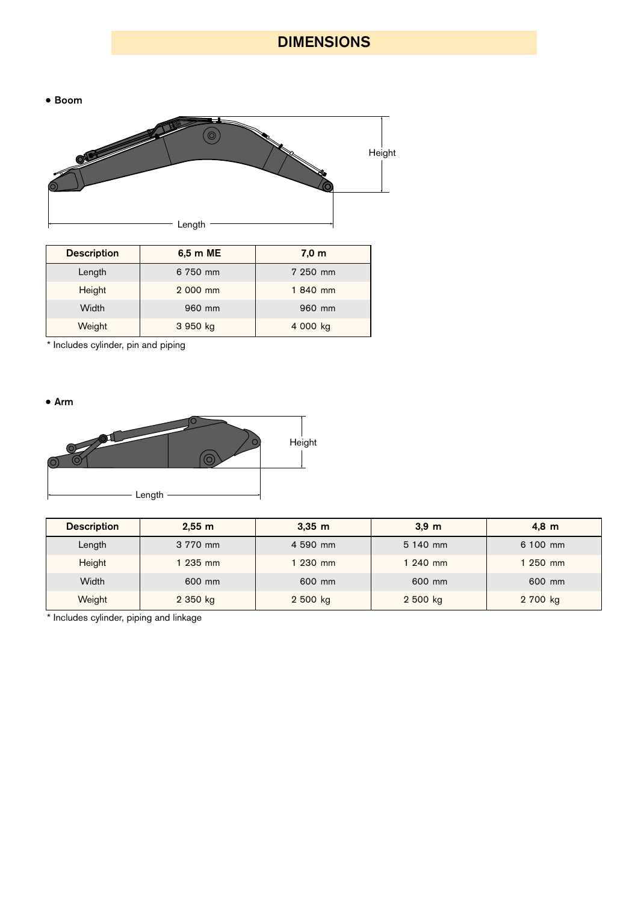# **DIMENSIONS**

• Boom



| <b>Description</b> | 6,5 m ME | 7.0 <sub>m</sub> |  |  |  |
|--------------------|----------|------------------|--|--|--|
| Length             | 6 750 mm | 7 250 mm         |  |  |  |
| Height             | 2 000 mm | 1840 mm          |  |  |  |
| Width              | 960 mm   | 960 mm           |  |  |  |
| Weight             | 3 950 kg | 4 000 kg         |  |  |  |

\* Includes cylinder, pin and piping

**Arm**



| <b>Description</b> | 2.55 m   | $3,35 \; m$ | $3,9$ m  | $4,8 \text{ m}$ |
|--------------------|----------|-------------|----------|-----------------|
| Length             | 3 770 mm | 4 590 mm    | 5 140 mm | 6 100 mm        |
| Height             | $235$ mm | 1 230 mm    | 1 240 mm | 1 250 mm        |
| Width              | 600 mm   | 600 mm      | 600 mm   | 600 mm          |
| Weight             | 2 350 kg | 2 500 kg    | 2 500 kg | 2 700 kg        |

\* Includes cylinder, piping and linkage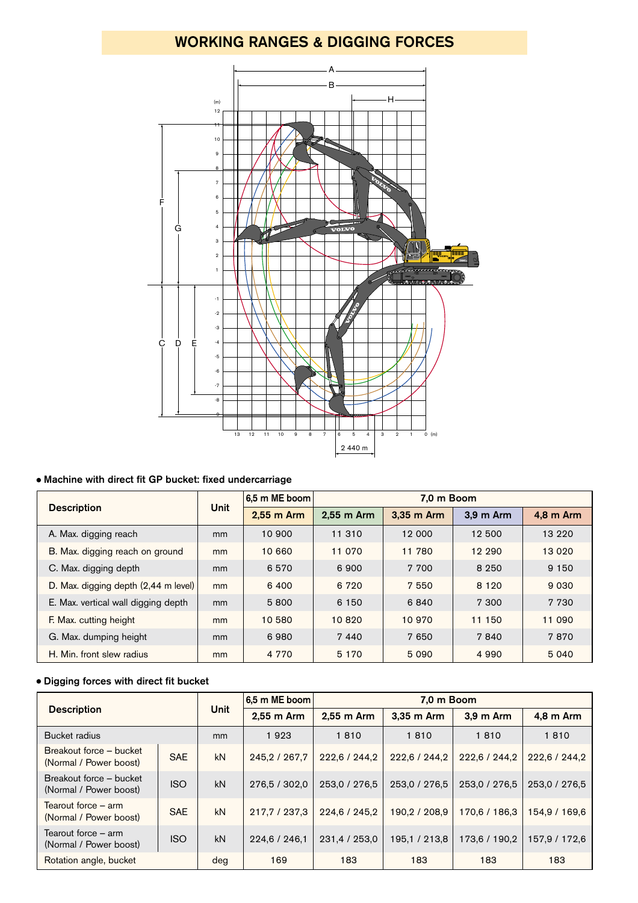# **WORKING RANGES & DIGGING FORCES**



# **Machine with direct fit GP bucket: fixed undercarriage**

|                                      |      | 6,5 m ME boom | 7.0 m Boom |            |           |           |  |  |  |
|--------------------------------------|------|---------------|------------|------------|-----------|-----------|--|--|--|
| <b>Description</b>                   | Unit | 2,55 m Arm    | 2.55 m Arm | 3.35 m Arm | 3.9 m Arm | 4.8 m Arm |  |  |  |
| A. Max. digging reach                | mm   | 10 900        | 11 310     | 12 000     | 12 500    | 13 2 2 0  |  |  |  |
| B. Max. digging reach on ground      | mm   | 10 660        | 11 0 70    | 11 780     | 12 290    | 13 0 20   |  |  |  |
| C. Max. digging depth                | mm   | 6570          | 6900       | 7 700      | 8 2 5 0   | 9 1 5 0   |  |  |  |
| D. Max. digging depth (2,44 m level) | mm   | 6400          | 6 7 2 0    | 7 5 5 0    | 8 1 2 0   | 9 0 3 0   |  |  |  |
| E. Max. vertical wall digging depth  | mm   | 5800          | 6 150      | 6840       | 7 300     | 7 7 3 0   |  |  |  |
| F. Max. cutting height               | mm   | 10 580        | 10820      | 10 970     | 11 150    | 11 090    |  |  |  |
| G. Max. dumping height               | mm   | 6980          | 7440       | 7 650      | 7840      | 7870      |  |  |  |
| H. Min. front slew radius            | mm   | 4 7 7 0       | 5 1 7 0    | 5 0 9 0    | 4 9 9 0   | 5 0 4 0   |  |  |  |

# **Digging forces with direct fit bucket**

|                                                   |            |             | 6,5 m ME boom   |               | 7.0 m Boom    |               |               |  |
|---------------------------------------------------|------------|-------------|-----------------|---------------|---------------|---------------|---------------|--|
| <b>Description</b>                                |            | <b>Unit</b> | 2,55 m Arm      | 2.55 m Arm    | 3.35 m Arm    | 3.9 m Arm     | 4,8 m Arm     |  |
| Bucket radius                                     |            | mm          | 1923            | 1810          | 1810          | 1810          | 1810          |  |
| Breakout force – bucket<br>(Normal / Power boost) | <b>SAE</b> | kN          | 245, 2 / 267, 7 | 222,6 / 244,2 | 222,6 / 244,2 | 222,6 / 244,2 | 222,6 / 244,2 |  |
| Breakout force – bucket<br>(Normal / Power boost) | <b>ISO</b> | kN          | 276,5 / 302,0   | 253,0 / 276,5 | 253,0 / 276,5 | 253,0 / 276,5 | 253,0 / 276,5 |  |
| Tearout force – arm<br>(Normal / Power boost)     | <b>SAE</b> | kN          | 217,7 / 237,3   | 224,6 / 245,2 | 190,2 / 208,9 | 170,6 / 186,3 | 154.9 / 169.6 |  |
| Tearout force – arm<br>(Normal / Power boost)     | <b>ISO</b> | kN          | 224,6 / 246,1   | 231,4 / 253,0 | 195,1 / 213,8 | 173,6 / 190,2 | 157,9 / 172,6 |  |
| Rotation angle, bucket                            |            | deg         | 169             | 183           | 183           | 183           | 183           |  |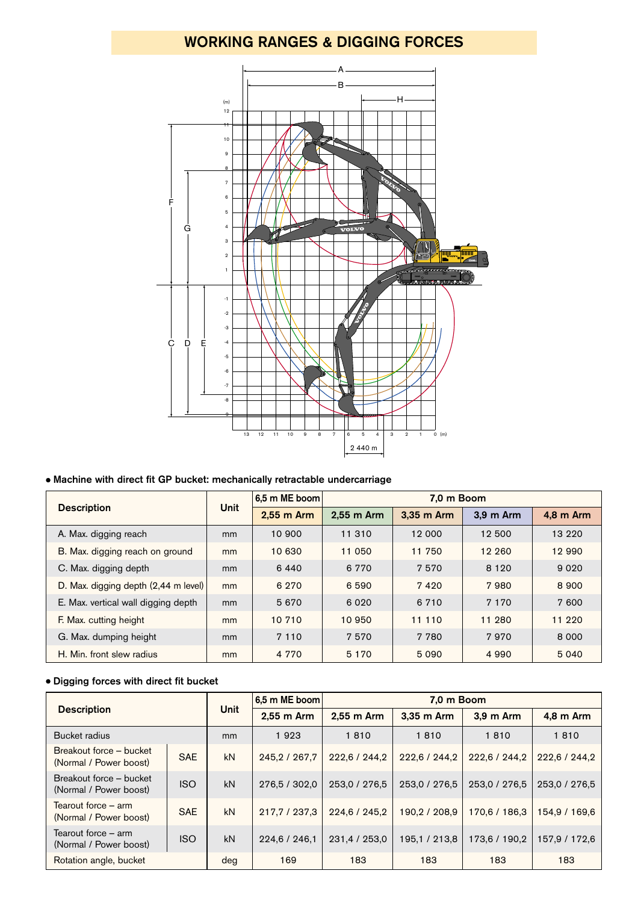# **WORKING RANGES & DIGGING FORCES**



# **Machine with direct fit GP bucket: mechanically retractable undercarriage**

|                                      |               | 6.5 m ME boom | 7.0 m Boom |            |           |           |  |  |  |
|--------------------------------------|---------------|---------------|------------|------------|-----------|-----------|--|--|--|
| <b>Description</b>                   | <b>Unit</b>   | 2,55 m Arm    | 2,55 m Arm | 3,35 m Arm | 3,9 m Arm | 4,8 m Arm |  |  |  |
| A. Max. digging reach                | mm            | 10 900        | 11 310     | 12 000     | 12 500    | 13 2 2 0  |  |  |  |
| B. Max. digging reach on ground      | mm            | 10 630        | 11 050     | 11 750     | 12 260    | 12 990    |  |  |  |
| C. Max. digging depth                | mm            | 6440          | 6 7 7 0    | 7570       | 8 1 2 0   | 9 0 2 0   |  |  |  |
| D. Max. digging depth (2,44 m level) | mm            | 6 2 7 0       | 6 5 9 0    | 7420       | 7980      | 8 9 0 0   |  |  |  |
| E. Max. vertical wall digging depth  | <sub>mm</sub> | 5670          | 6 0 2 0    | 6 7 1 0    | 7 1 7 0   | 7 600     |  |  |  |
| F. Max. cutting height               | mm            | 10 710        | 10 950     | 11 110     | 11 280    | 11 2 2 0  |  |  |  |
| G. Max. dumping height               | mm            | 7 1 1 0       | 7570       | 7 7 8 0    | 7970      | 8 0 0 0   |  |  |  |
| H. Min. front slew radius            | mm            | 4 7 7 0       | 5 1 7 0    | 5 0 9 0    | 4 9 9 0   | 5 0 4 0   |  |  |  |

# **Digging forces with direct fit bucket**

| <b>Description</b>                                          |            |             | 6,5 m ME boom   | 7.0 m Boom    |               |               |               |  |  |
|-------------------------------------------------------------|------------|-------------|-----------------|---------------|---------------|---------------|---------------|--|--|
|                                                             |            | <b>Unit</b> | $2.55$ m Arm    | 2.55 m Arm    | 3,35 m Arm    | 3.9 m Arm     | 4,8 m Arm     |  |  |
| Bucket radius                                               |            | mm          | 1923            | 1810          | 1810          | 1810          | 1810          |  |  |
| Breakout force – bucket<br>(Normal / Power boost)           | <b>SAE</b> | kN          | 245, 2 / 267, 7 | 222,6 / 244,2 | 222,6 / 244,2 | 222,6 / 244,2 | 222.6 / 244.2 |  |  |
| Breakout force – bucket<br>(Normal / Power boost)           | <b>ISO</b> | kN          | 276,5 / 302,0   | 253,0 / 276,5 | 253,0 / 276,5 | 253,0 / 276,5 | 253,0 / 276,5 |  |  |
| Tearout force $-$ arm<br>(Normal / Power boost)             | <b>SAE</b> | kN          | 217,7 / 237,3   | 224,6 / 245,2 | 190,2 / 208,9 | 170,6 / 186,3 | 154.9 / 169.6 |  |  |
| Tearout force – arm<br><b>ISO</b><br>(Normal / Power boost) |            | kN          | 224,6 / 246,1   | 231,4 / 253,0 | 195,1 / 213,8 | 173,6 / 190,2 | 157,9 / 172,6 |  |  |
| Rotation angle, bucket                                      |            | deg         | 169             | 183           | 183           | 183           | 183           |  |  |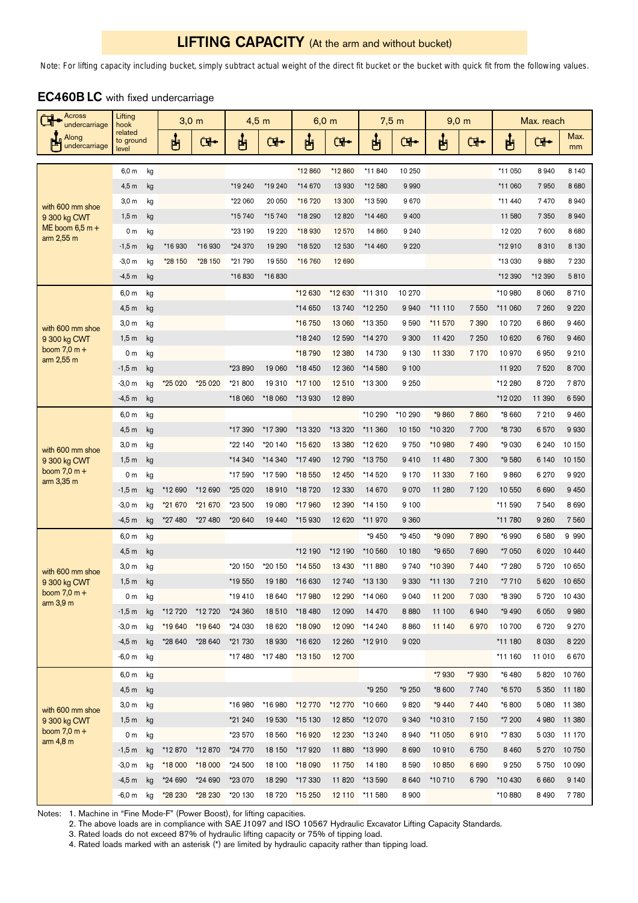# **LIFTING CAPACITY** (At the arm and without bucket)

*Note: For lifting capacity including bucket, simply subtract actual weight of the direct fit bucket or the bucket with quick fit from the following values.*

| Across<br>undercarriage                | Lifting<br>hook               |          | $3,0$ m            |            | $4,5$ m           |                  |                   | $6,0$ m          | $7,5$ m            |                 | $9,0 \text{ m}$  |                 |                  | Max. reach      |                |
|----------------------------------------|-------------------------------|----------|--------------------|------------|-------------------|------------------|-------------------|------------------|--------------------|-----------------|------------------|-----------------|------------------|-----------------|----------------|
| Along<br>undercarriage                 | related<br>to ground<br>level |          | ப்                 | <b>GI-</b> | ပြီ               | Œ.               | ႕                 | <b>G</b>         | ௶                  | <b>طِی</b>      | ப்               | <b>G</b>        | ႕                | Œ.              | Max.<br>mm     |
|                                        | 6,0 m                         | kg       |                    |            |                   |                  | *12860            | *12860           | *11840             | 10 250          |                  |                 | *11 050          | 8940            | 8 1 4 0        |
|                                        | 4,5m                          | kg       |                    |            | *19 240           | *19 240          | *14 670           | 13 930           | *12580             | 9990            |                  |                 | *11 060          | 7950            | 8 6 8 0        |
|                                        | 3,0 <sub>m</sub>              | kg       |                    |            | *22 060           | 20 050           | *16 720           | 13 300           | *13 590            | 9670            |                  |                 | *11 440          | 7470            | 8940           |
| with 600 mm shoe<br>9 300 kg CWT       | 1,5m                          | kg       |                    |            | *15 740           | *15 740          | *18 290           | 12820            | *14 460            | 9 4 0 0         |                  |                 | 11 580           | 7 3 5 0         | 8940           |
| ME boom $6,5$ m +                      | 0 <sub>m</sub>                | kg       |                    |            | *23 190           | 19 2 20          | *18930            | 12 570           | 14 860             | 9 2 4 0         |                  |                 | 12 0 20          | 7600            | 8 6 8 0        |
| arm 2,55 m                             | $-1,5$ m                      | kg       | *16930             | *16930     | *24 370           | 19 290           | *18520            | 12 530           | *14 460            | 9 2 2 0         |                  |                 | *12910           | 8310            | 8 1 3 0        |
|                                        | $-3,0$ m                      | kg       | *28 150            | *28 150    | *21 790           | 19 550           | *16 760           | 12 690           |                    |                 |                  |                 | *13 030          | 9880            | 7 2 3 0        |
|                                        | $-4,5$ m                      | kg       |                    |            | *16830            | *16830           |                   |                  |                    |                 |                  |                 | *12 390          | *12 390         | 5810           |
|                                        | 6,0 m                         | kg       |                    |            |                   |                  | *12 630           | *12 630          | *11 310            | 10 270          |                  |                 | *10 980          | 8 0 6 0         | 8710           |
|                                        | 4,5m                          | kg       |                    |            |                   |                  | *14 650           | 13740            | *12 250            | 9940            | *11 110          | 7550            | *11 060          | 7 260           | 9 2 2 0        |
| with 600 mm shoe                       | 3,0 <sub>m</sub>              | kg       |                    |            |                   |                  | *16 750           | 13 060           | *13 350            | 9590            | *11 570          | 7 3 9 0         | 10720            | 6860            | 9 4 6 0        |
| 9 300 kg CWT                           | 1,5m                          | kg       |                    |            |                   |                  | *18 240           | 12 590           | *14 270            | 9 3 0 0         | 11 4 20          | 7 2 5 0         | 10 6 20          | 6760            | 9 4 6 0        |
| boom $7,0 m +$<br>arm 2,55 m           | 0 <sub>m</sub>                | kg       |                    |            |                   |                  | *18 790           | 12 3 8 0         | 14 730             | 9 1 3 0         | 11 330           | 7 1 7 0         | 10970            | 6950            | 9 2 1 0        |
|                                        | $-1,5$ m                      | kg       |                    |            | *23 890           | 19 060           | *18 450           | 12 3 60          | *14 580            | 9 1 0 0         |                  |                 | 11920            | 7520            | 8700           |
|                                        | $-3,0 m$                      | kg       | *25 020            | *25 020    | *21 800           | 19310            | *17 100           | 12510            | *13 300            | 9 2 5 0         |                  |                 | *12 280          | 8720            | 7870           |
|                                        | $-4,5$ m                      | kg       |                    |            | *18 060           | *18 060          | *13 930           | 12890            |                    |                 |                  |                 | *12 020          | 11 390          | 6590           |
|                                        | 6,0 m                         | kg       |                    |            |                   |                  |                   |                  | *10 290            | *10 290         | *9860            | 7860            | *8 660           | 7 210           | 9 4 6 0        |
|                                        | 4,5m                          | kg       |                    |            | *17390            | *17 390          | *13 320           | *13 320          | *11 360            | 10 150          | *10 320          | 7700            | *8 730           | 6570            | 9930           |
| with 600 mm shoe                       | 3,0 <sub>m</sub>              | kg       |                    |            | *22 140           | *20 140          | *15 620           | 13 3 8 0         | *12 620            | 9750            | *10 980          | 7490            | *9 030           | 6 2 4 0         | 10 150         |
| 9 300 kg CWT<br>boom $7,0 m +$         | 1,5m                          | kg       |                    |            | *14 340           | *14 340          | *17490            | 12 790           | *13 750            | 9410            | 11 480           | 7 300           | *9580            | 6 1 4 0         | 10 150         |
| arm 3,35 m                             | 0 <sub>m</sub>                | kg       |                    |            | *17590            | *17 590          | *18 550           | 12 450           | *14 520            | 9170            | 11 330           | 7 1 6 0         | 9860             | 6 2 7 0         | 9920           |
|                                        | $-1,5$ m                      | kg       | *12 690            | *12 690    | *25 020           | 18910            | *18720            | 12 3 30          | 14 670             | 9070            | 11 280           | 7 1 2 0         | 10 550           | 6690            | 9 4 5 0        |
|                                        | $-3,0 \text{ m}$              | kg       | *21 670            | *21 670    | *23 500           | 19 080           | *17960            | 12 3 9 0         | *14 150            | 9 1 0 0         |                  |                 | *11 590          | 7540            | 8 6 9 0        |
|                                        | $-4,5$ m                      | kg       | *27 480            | *27 480    | *20 640           | 19 440           | *15 930           | 12 6 20          | *11970             | 9 3 6 0         |                  |                 | *11 780          | 9 2 6 0         | 7560           |
|                                        | 6,0 m                         | kg       |                    |            |                   |                  |                   |                  | *9 450             | *9 450          | *9 090           | 7890            | *6 990           | 6580            | 9 9 9 0        |
|                                        | 4,5m                          | kg       |                    |            |                   |                  | *12 190           | *12 190          | *10 560            | 10 180          | *9 650           | 7690            | *7 050           | 6 0 2 0         | 10 440         |
| with 600 mm shoe                       | 3,0 <sub>m</sub>              | kg       |                    |            | *20 150           | *20 150          | *14 550           | 13 4 30          | *11880             | 9740            | *10 390          | 7440            | *7 280           | 5720            | 10 650         |
| 9 300 kg CWT<br>boom $7,0 \text{ m} +$ | 1,5m                          | kg       |                    |            | *19 550           | 19 180           | *16 630           | 12 740           | *13 130            | 9 3 3 0         | *11 130          | 7 2 1 0         | *7 710           | 5 6 20          | 10 650         |
| arm 3,9 m                              | 0 m<br>$-1,5$ m               | kg       |                    | *12 720    | *19410<br>*24 360 | 18 640           | *17980<br>*18 480 | 12 290<br>12 090 | *14 060<br>14 4 70 | 9 0 4 0<br>8880 | 11 200<br>11 100 | 7 0 3 0<br>6940 | *8 390<br>*9 490 | 5720<br>6 0 5 0 | 10 430<br>9980 |
|                                        | $-3,0 m$                      | kg<br>kg | *12 720<br>*19 640 | *19 640    | *24 030           | 18510<br>18 6 20 | *18 090           | 12 090           | *14 240            | 8860            | 11 140           | 6970            | 10 700           | 6720            | 9 2 7 0        |
|                                        | $-4,5$ m                      | kg       | *28 640            | *28 640    | *21 730           | 18 9 30          | *16 620           | 12 260           | *12910             | 9020            |                  |                 | *11 180          | 8 0 3 0         | 8 2 2 0        |
|                                        | $-6,0 \text{ m}$              | kg       |                    |            | *17480            | *17480           | *13 150           | 12 700           |                    |                 |                  |                 | *11 160          | 11 010          | 6670           |
|                                        |                               |          |                    |            |                   |                  |                   |                  |                    |                 | *7 930           | *7 930          | *6480            |                 | 10 760         |
|                                        | 6,0 m<br>4,5m                 | kg<br>kg |                    |            |                   |                  |                   |                  | *9 250             | *9 250          | *8 600           | 7740            | *6570            | 5820<br>5 3 5 0 | 11 180         |
|                                        | 3,0 <sub>m</sub>              | kg       |                    |            | *16 980           | *16 980          | *12 770           | *12 770          | *10 660            | 9820            | *9 440           | 7440            | *6800            | 5 0 8 0         | 11 380         |
| with 600 mm shoe<br>9 300 kg CWT       | 1,5m                          | kg       |                    |            | *21 240           | 19 530           | *15 130           | 12850            | *12 070            | 9 3 4 0         | *10 310          | 7 1 5 0         | *7 200           | 4 9 8 0         | 11 380         |
| boom $7,0 m +$                         | 0 <sub>m</sub>                | kg       |                    |            | *23 570           | 18 5 60          | *16920            | 12 2 30          | *13 240            | 8940            | *11 050          | 6910            | *7830            | 5 0 3 0         | 11 170         |
| arm 4,8 m                              | $-1,5$ m                      | kg       | *12870             | *12870     | *24 770           | 18 150           | *17920            | 11880            | *13 990            | 8 6 9 0         | 10910            | 6 7 5 0         | 8460             | 5 2 7 0         | 10 750         |
|                                        | $-3,0 m$                      | kg       | *18 000            | *18 000    | *24 500           | 18 100           | *18 090           | 11 750           | 14 180             | 8590            | 10850            | 6690            | 9 2 5 0          | 5 7 5 0         | 10 090         |
|                                        | $-4,5$ m                      | kg       | *24 690            | *24 690    | *23 070           | 18 290           | *17330            | 11820            | *13 590            | 8 6 4 0         | *10 710          | 6790            | *10 430          | 6 6 6 0         | 9 1 4 0        |
|                                        | $-6,0 m$                      | kg       | *28 230            | *28 230    | *20 130           | 18 720           | *15 250           | 12 110           | *11 580            | 8 9 0 0         |                  |                 | *10880           | 8 4 9 0         | 7780           |

# **EC460B LC** with fixed undercarriage

Notes: 1. Machine in "Fine Mode-F" (Power Boost), for lifting capacities.

2. The above loads are in compliance with SAE J1097 and ISO 10567 Hydraulic Excavator Lifting Capacity Standards.

3. Rated loads do not exceed 87% of hydraulic lifting capacity or 75% of tipping load.

4. Rated loads marked with an asterisk (\*) are limited by hydraulic capacity rather than tipping load.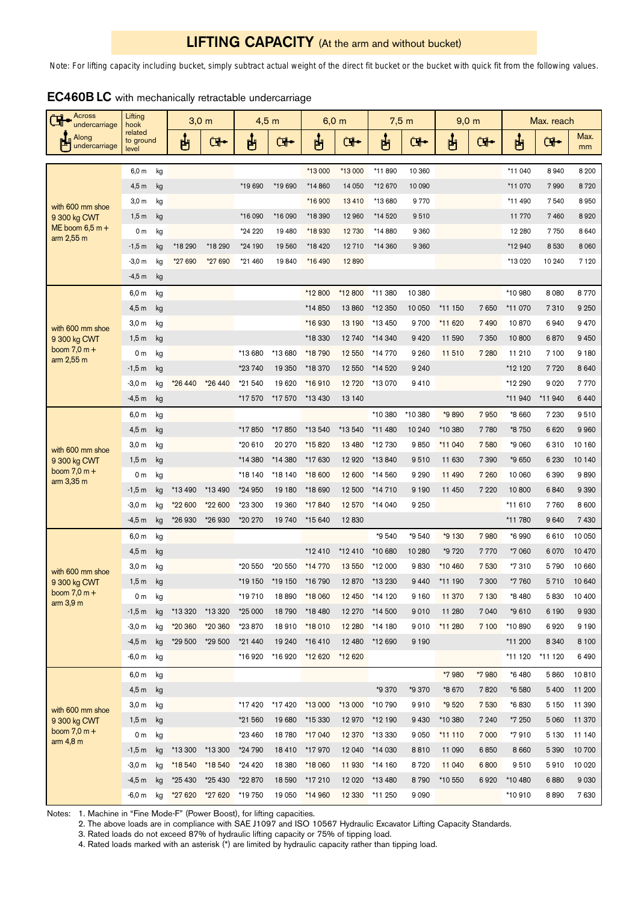# **LIFTING CAPACITY** (At the arm and without bucket)

*Note: For lifting capacity including bucket, simply subtract actual weight of the direct fit bucket or the bucket with quick fit from the following values.*

| Across<br>undercarriage                                             | Lifting<br>hook    |    | 3.0 <sub>m</sub> |         | $4,5$ m |          | 6.0 <sub>m</sub> |          | $7,5$ m |          | $9,0 \text{ m}$ |         | Max. reach |         |            |
|---------------------------------------------------------------------|--------------------|----|------------------|---------|---------|----------|------------------|----------|---------|----------|-----------------|---------|------------|---------|------------|
| related<br>Along<br>to ground<br>undercarriage<br>level             |                    |    | 甴                | Œ.      | 甴       | <b>G</b> | ப்               | <b>G</b> | ပျော်   | <b>G</b> | Ů               | Œ.      | ப்         | Œ.      | Max.<br>mm |
| with 600 mm shoe<br>9 300 kg CWT<br>ME boom $6,5$ m +<br>arm 2,55 m | 6,0 m              | kg |                  |         |         |          | *13 000          | *13 000  | *11890  | 10 360   |                 |         | *11 040    | 8940    | 8 2 0 0    |
|                                                                     | $4,5$ m            | kg |                  |         | *19 690 | *19 690  | *14 860          | 14 050   | *12 670 | 10 090   |                 |         | *11 070    | 7990    | 8720       |
|                                                                     | 3,0 <sub>m</sub>   | kg |                  |         |         |          | *16 900          | 13410    | *13 680 | 9 7 7 0  |                 |         | *11 490    | 7540    | 8950       |
|                                                                     | 1,5m               | kg |                  |         | *16 090 | *16 090  | *18 390          | 12 960   | *14520  | 9510     |                 |         | 11 770     | 7460    | 8920       |
|                                                                     | 0 <sub>m</sub>     | kg |                  |         | *24 220 | 19 4 80  | *18 930          | 12 730   | *14 880 | 9 3 6 0  |                 |         | 12 280     | 7750    | 8 6 4 0    |
|                                                                     | $-1,5$ m           | kg | *18 290          | *18 290 | *24 190 | 19560    | *18 420          | 12 710   | *14 360 | 9 3 6 0  |                 |         | *12 940    | 8530    | 8 0 6 0    |
|                                                                     | $-3,0 m$           | kg | *27 690          | *27 690 | *21 460 | 19840    | *16 490          | 12890    |         |          |                 |         | *13 020    | 10 240  | 7 1 2 0    |
|                                                                     | $-4,5$ m           | kg |                  |         |         |          |                  |          |         |          |                 |         |            |         |            |
| with 600 mm shoe<br>9 300 kg CWT<br>boom $7,0 m +$<br>arm 2,55 m    | 6,0 m              | kg |                  |         |         |          | *12 800          | *12 800  | *11 380 | 10 380   |                 |         | *10 980    | 8 0 8 0 | 8770       |
|                                                                     | 4,5m               | kg |                  |         |         |          | *14 850          | 13860    | *12 350 | 10 050   | *11 150         | 7650    | *11 070    | 7310    | 9 2 5 0    |
|                                                                     | 3,0 <sub>m</sub>   | kg |                  |         |         |          | *16 930          | 13 190   | *13450  | 9 700    | *11 620         | 7490    | 10870      | 6940    | 9470       |
|                                                                     | 1,5m               | kg |                  |         |         |          | *18 330          | 12 740   | *14 340 | 9 4 2 0  | 11 590          | 7 3 5 0 | 10800      | 6870    | 9 4 5 0    |
|                                                                     | 0 <sub>m</sub>     | kg |                  |         | *13 680 | *13 680  | *18 790          | 12 550   | *14 770 | 9 2 6 0  | 11 510          | 7 2 8 0 | 11 210     | 7100    | 9 1 8 0    |
|                                                                     | -1,5 m             | kg |                  |         | *23 740 | 19 350   | *18 370          | 12 550   | *14 520 | 9 2 4 0  |                 |         | *12 120    | 7720    | 8 6 4 0    |
|                                                                     | $-3,0 m$           | kg | *26 440          | *26 440 | *21 540 | 19620    | *16910           | 12 720   | *13 070 | 9410     |                 |         | *12 290    | 9020    | 7 7 7 0    |
|                                                                     | $-4,5m$            | kg |                  |         | *17570  | *17570   | *13 430          | 13 140   |         |          |                 |         | *11 940    | *11 940 | 6440       |
| with 600 mm shoe<br>9 300 kg CWT<br>boom $7,0 m +$<br>arm 3,35 m    | 6,0 m              | kg |                  |         |         |          |                  |          | *10 380 | *10 380  | *9890           | 7950    | *8 660     | 7 2 3 0 | 9510       |
|                                                                     | 4,5m               | kg |                  |         | *17850  | *17850   | *13 540          | *13 540  | *11 480 | 10 240   | *10 380         | 7780    | *8 750     | 6620    | 9960       |
|                                                                     | 3,0 <sub>m</sub>   | kg |                  |         | *20 610 | 20 270   | *15820           | 13 4 80  | *12 730 | 9850     | *11 040         | 7580    | *9 060     | 6310    | 10 160     |
|                                                                     | 1,5m               | kg |                  |         | *14 380 | *14 380  | *17 630          | 12 9 20  | *13840  | 9510     | 11 630          | 7390    | *9 650     | 6 2 3 0 | 10 140     |
|                                                                     | 0 <sub>m</sub>     | kg |                  |         | *18 140 | *18 140  | *18 600          | 12 600   | *14 560 | 9 2 9 0  | 11 490          | 7 2 6 0 | 10 060     | 6 3 9 0 | 9890       |
|                                                                     | $-1,5$ m           | kg | *13 490          | *13 490 | *24 950 | 19 180   | *18 690          | 12 500   | *14 710 | 9 1 9 0  | 11 450          | 7 2 2 0 | 10800      | 6840    | 9 3 9 0    |
|                                                                     | -3,0 m             | kg | *22 600          | *22 600 | *23 300 | 19 360   | *17840           | 12 570   | *14 040 | 9 2 5 0  |                 |         | *11 610    | 7760    | 8 600      |
|                                                                     | -4,5 m             | kg | *26 930          | *26 930 | *20 270 | 19740    | *15 640          | 12830    |         |          |                 |         | *11 780    | 9640    | 7430       |
| with 600 mm shoe<br>9 300 kg CWT<br>boom $7,0 m +$<br>arm 3,9 m     | 6,0 m              | kg |                  |         |         |          |                  |          | *9 540  | *9 540   | *9 130          | 7980    | *6 990     | 6610    | 10 050     |
|                                                                     | 4,5 m              | kg |                  |         |         |          | *12410           | *12 410  | *10 680 | 10 280   | *9 720          | 7770    | *7 060     | 6070    | 10 470     |
|                                                                     | 3,0 <sub>m</sub>   | kg |                  |         | *20 550 | *20 550  | *14 770          | 13 550   | *12 000 | 9830     | *10 460         | 7530    | *7310      | 5790    | 10 660     |
|                                                                     | 1,5m               | kg |                  |         | *19 150 | *19 150  | *16 790          | 12870    | *13 230 | 9 4 4 0  | *11 190         | 7 300   | *7 760     | 5710    | 10 640     |
|                                                                     | 0 m                | kg |                  |         | *19710  | 18890    | *18 060          | 12 450   | *14 120 | 9 1 6 0  | 11 370          | 7 1 3 0 | *8480      | 5830    | 10 400     |
|                                                                     | $-1,5m$            | kg | *13 320          | *13 320 | *25 000 | 18790    | *18 480          | 12 270   | *14 500 | 9010     | 11 280          | 7 0 4 0 | *9 610     | 6 1 9 0 | 9930       |
|                                                                     | $-3,0 \, \text{m}$ | kg | *20 360          | *20 360 | *23 870 | 18910    | *18 010          | 12 280   | *14 180 | 9010     | *11 280         | 7 100   | *10890     | 6920    | 9 1 9 0    |
|                                                                     | -4,5 m             | kg | *29 500          | *29 500 | *21 440 | 19 240   | *16410           | 12 480   | *12 690 | 9 1 9 0  |                 |         | *11 200    | 8 3 4 0 | 8 1 0 0    |
|                                                                     | -6,0 m             | kg |                  |         | *16920  | *16920   | *12 620          | *12 620  |         |          |                 |         | *11 120    | *11 120 | 6490       |
| with 600 mm shoe<br>9 300 kg CWT<br>boom $7,0 m +$<br>arm 4,8 m     | 6,0 m              | kg |                  |         |         |          |                  |          |         |          | *7 980          | *7 980  | *6480      | 5860    | 10810      |
|                                                                     | 4,5m               | kg |                  |         |         |          |                  |          | *9 370  | *9 370   | *8 670          | 7820    | *6580      | 5 4 0 0 | 11 200     |
|                                                                     | $3,0 \text{ m}$    | kg |                  |         | *17420  | *17420   | *13 000          | *13 000  | *10 790 | 9910     | *9 520          | 7530    | *6830      | 5 1 5 0 | 11 390     |
|                                                                     | 1,5m               | kg |                  |         | *21 560 | 19 680   | *15 330          | 12970    | *12 190 | 9 4 3 0  | *10 380         | 7 240   | *7 250     | 5 0 6 0 | 11 370     |
|                                                                     | 0 <sub>m</sub>     | kg |                  |         | *23 460 | 18780    | *17 040          | 12 370   | *13 330 | 9 0 5 0  | *11 110         | 7 0 0 0 | *7910      | 5 1 3 0 | 11 140     |
|                                                                     | $-1,5m$            | kg | *13 300          | *13 300 | *24 790 | 18410    | *17970           | 12 040   | *14 030 | 8810     | 11 090          | 6850    | 8 6 6 0    | 5 3 9 0 | 10 700     |
|                                                                     | $-3,0 m$           | kg | *18 540          | *18540  | *24 420 | 18 3 80  | *18 060          | 11 930   | *14 160 | 8720     | 11 040          | 6800    | 9510       | 5910    | 10 0 20    |
|                                                                     | -4,5 m             | kg | *25 430          | *25 430 | *22870  | 18590    | *17 210          | 12 0 20  | *13 480 | 8790     | *10 550         | 6920    | *10480     | 6880    | 9 0 3 0    |
|                                                                     | -6,0 m             | kg | *27 620          | *27 620 | *19 750 | 19 050   | *14 960          | 12 3 30  | *11 250 | 9 0 9 0  |                 |         | *10910     | 8890    | 7630       |

| <b>EC460BLC</b> with mechanically retractable undercarriage |  |  |
|-------------------------------------------------------------|--|--|
|-------------------------------------------------------------|--|--|

Notes: 1. Machine in "Fine Mode-F" (Power Boost), for lifting capacities.

2. The above loads are in compliance with SAE J1097 and ISO 10567 Hydraulic Excavator Lifting Capacity Standards.

3. Rated loads do not exceed 87% of hydraulic lifting capacity or 75% of tipping load.

4. Rated loads marked with an asterisk (\*) are limited by hydraulic capacity rather than tipping load.